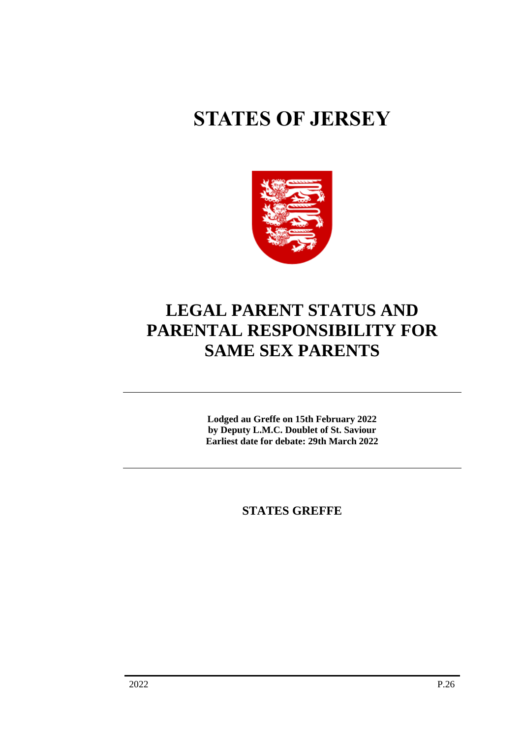# **STATES OF JERSEY**



## **LEGAL PARENT STATUS AND PARENTAL RESPONSIBILITY FOR SAME SEX PARENTS**

**Lodged au Greffe on 15th February 2022 by Deputy L.M.C. Doublet of St. Saviour Earliest date for debate: 29th March 2022**

**STATES GREFFE**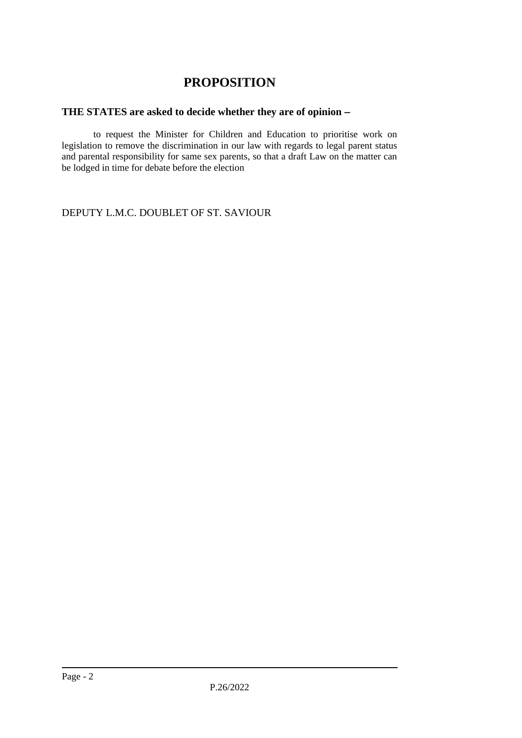### **PROPOSITION**

#### **THE STATES are asked to decide whether they are of opinion** −

to request the Minister for Children and Education to prioritise work on legislation to remove the discrimination in our law with regards to legal parent status and parental responsibility for same sex parents, so that a draft Law on the matter can be lodged in time for debate before the election

DEPUTY L.M.C. DOUBLET OF ST. SAVIOUR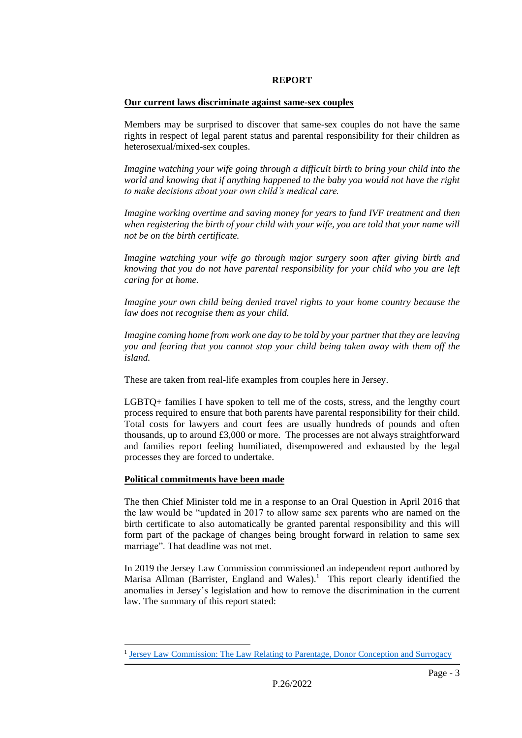#### **REPORT**

#### **Our current laws discriminate against same-sex couples**

Members may be surprised to discover that same-sex couples do not have the same rights in respect of legal parent status and parental responsibility for their children as heterosexual/mixed-sex couples.

*Imagine watching your wife going through a difficult birth to bring your child into the world and knowing that if anything happened to the baby you would not have the right to make decisions about your own child's medical care.* 

*Imagine working overtime and saving money for years to fund IVF treatment and then when registering the birth of your child with your wife, you are told that your name will not be on the birth certificate.* 

*Imagine watching your wife go through major surgery soon after giving birth and knowing that you do not have parental responsibility for your child who you are left caring for at home.* 

*Imagine your own child being denied travel rights to your home country because the law does not recognise them as your child.* 

*Imagine coming home from work one day to be told by your partner that they are leaving you and fearing that you cannot stop your child being taken away with them off the island.* 

These are taken from real-life examples from couples here in Jersey.

LGBTQ+ families I have spoken to tell me of the costs, stress, and the lengthy court process required to ensure that both parents have parental responsibility for their child. Total costs for lawyers and court fees are usually hundreds of pounds and often thousands, up to around £3,000 or more. The processes are not always straightforward and families report feeling humiliated, disempowered and exhausted by the legal processes they are forced to undertake.

#### **Political commitments have been made**

The then Chief Minister told me in a response to an Oral Question in April 2016 that the law would be "updated in 2017 to allow same sex parents who are named on the birth certificate to also automatically be granted parental responsibility and this will form part of the package of changes being brought forward in relation to same sex marriage". That deadline was not met.

In 2019 the Jersey Law Commission commissioned an independent report authored by Marisa Allman (Barrister, England and Wales).<sup>1</sup> This report clearly identified the anomalies in Jersey's legislation and how to remove the discrimination in the current law. The summary of this report stated:

<sup>&</sup>lt;sup>1</sup> [Jersey Law Commission: The Law Relating to Parentage, Donor Conception and](https://jerseylawcommission.files.wordpress.com/2020/06/report-to-the-jersey-law-commission-on-parentage-and-surrogacy-bjc-additions-619310-final-ver-docx-621852.pdf) Surrogacy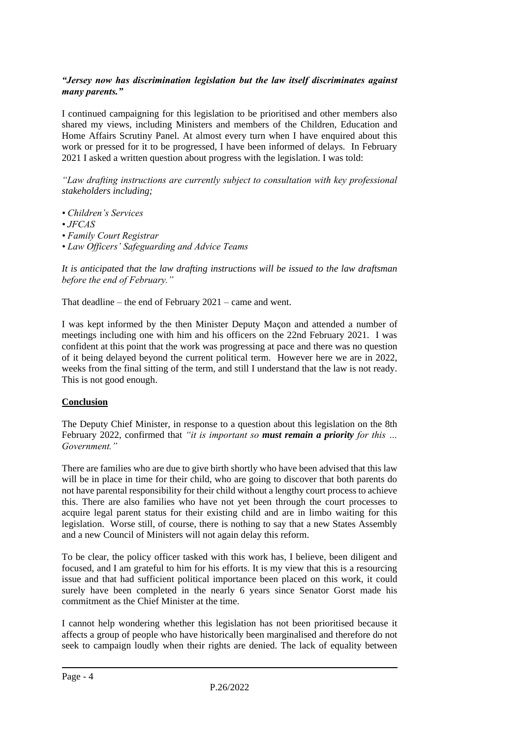#### *"Jersey now has discrimination legislation but the law itself discriminates against many parents."*

I continued campaigning for this legislation to be prioritised and other members also shared my views, including Ministers and members of the Children, Education and Home Affairs Scrutiny Panel. At almost every turn when I have enquired about this work or pressed for it to be progressed, I have been informed of delays. In February 2021 I asked a written question about progress with the legislation. I was told:

*"Law drafting instructions are currently subject to consultation with key professional stakeholders including;* 

- *Children's Services*
- *JFCAS*
- *Family Court Registrar*
- *Law Officers' Safeguarding and Advice Teams*

*It is anticipated that the law drafting instructions will be issued to the law draftsman before the end of February."*

That deadline – the end of February 2021 – came and went.

I was kept informed by the then Minister Deputy Maçon and attended a number of meetings including one with him and his officers on the 22nd February 2021. I was confident at this point that the work was progressing at pace and there was no question of it being delayed beyond the current political term. However here we are in 2022, weeks from the final sitting of the term, and still I understand that the law is not ready. This is not good enough.

#### **Conclusion**

The Deputy Chief Minister, in response to a question about this legislation on the 8th February 2022, confirmed that *"it is important so must remain a priority for this … Government."* 

There are families who are due to give birth shortly who have been advised that this law will be in place in time for their child, who are going to discover that both parents do not have parental responsibility for their child without a lengthy court process to achieve this. There are also families who have not yet been through the court processes to acquire legal parent status for their existing child and are in limbo waiting for this legislation. Worse still, of course, there is nothing to say that a new States Assembly and a new Council of Ministers will not again delay this reform.

To be clear, the policy officer tasked with this work has, I believe, been diligent and focused, and I am grateful to him for his efforts. It is my view that this is a resourcing issue and that had sufficient political importance been placed on this work, it could surely have been completed in the nearly 6 years since Senator Gorst made his commitment as the Chief Minister at the time.

I cannot help wondering whether this legislation has not been prioritised because it affects a group of people who have historically been marginalised and therefore do not seek to campaign loudly when their rights are denied. The lack of equality between